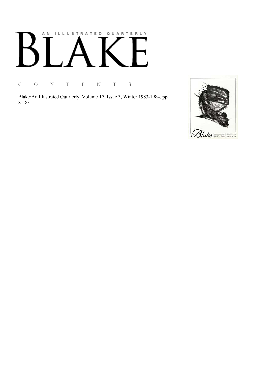# AN ILLUSTRATED QUARTERLY

C O N T E N T S

Blake/An Illustrated Quarterly, Volume 17, Issue 3, Winter 1983-1984, pp. 81-83

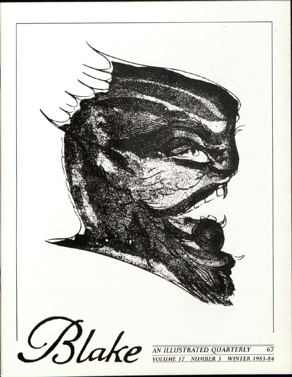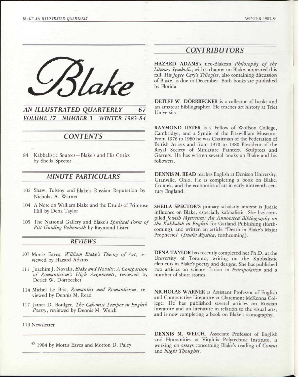

## *AN ILLUSTRATED QUARTERLY* 67 *VOLUME 17 NUMBER 3 WINTER 1983-84*

# *CONTENTS*

84 Kabbalistic Sources — Blake's and His Critics by Sheila Spector

### *MINUTE PARTICULARS*

- 102 Shaw, Tolstoy and Blake's Russian Reputation by Nicholas A. Warner
- 104 A Note on William Blake and the Druids of Primrose Hill by Dena Taylor
- 105 The National Gallery and Blake's *Spiritual Form of Pitt Guiding Behemoth* by Raymond Lister

#### *REVIEWS*

- 107 Morris Eaves, *William Blake's Theory of Art,* reviewed by Hazard Adams
- 111 Joachim J. Novalis, *Blake and Novalis: A Comparison of Romanticism's High Arguments,* reviewed by Detlef W. Dorrbecker
- 114 Michel Le Bris, *Romantics and Romanticism,* reviewed by Dennis M. Read
- 117 James D. Boulger, *The Calvinist Temper in English Poetry,* reviewed by Dennis M. Welch

119 Newsletter

© 1984 by Morris Eaves and Morton D. Paley

## *CONTRIBUTORS*

HAZARD ADAMS's neo-Blakean *Philosophy of the Literary Symbolic,* with a chapter on Blake, appeared this fall. His *Joyce Cary's Trilogies,* also containing discussion of Blake, is due in December. Both books are published by Florida.

DETLEF W. DORRBECKER is a collector of books and an amateur bibliographer. He teaches art history at Trier University.

RAYMOND LISTER is a Fellow of Wolfson College, Cambridge, and a Syndic of the Fitzwilliam Museum. From 1976 to 1980 he was Chairman of the Federation of British Artists and from 1970 to 1980 President of the Royal Society of Miniature Painters, Sculptors and Gravers. He has written several books on Blake and his followers.

DENNIS M. READ teaches English at Denison University, Granville, Ohio. He is completing a book on Blake, Cromek, and the economics of art in early ninteenth-century England.

SHEILA SPECTOR'S primary scholarly interest is Judaic influence on Blake, especially kabbalistic. She has compiled *Jewish Mysticism: An Annotated Bibliography on the Kabbalah in English* for Garland Publishing (forthcoming), and written an article "Death in Blake's Major Prophecies" *(Studia Mystica,* forthcoming).

DENA TAYLOR has recently completed her Ph.D. at the University of Toronto, writing on the Kabbalistic elements in Blake's poetry and designs. She has published two articles on science fiction in *Extrapolation* and a number of short stories.

NICHOLAS WARNER is Assistant Professor of English and Comparative Literature at Claremont McKenna College. He has published several articles on Russian literature and on literature in relation to the visual arts, and is now completing a book on Blake's iconography.

DENNIS M. WELCH, Associate Professor of English and Humanities at Virginia Polytechnic Institute, is working on essays concerning Blake's reading of *Comus*  and *Night Thoughts.*